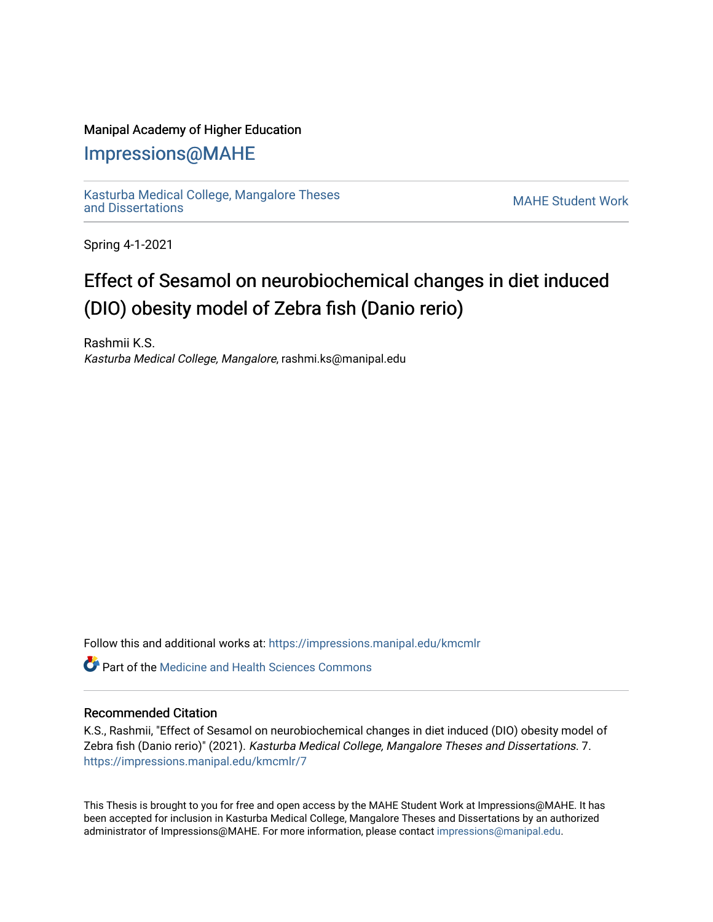# Manipal Academy of Higher Education

# [Impressions@MAHE](https://impressions.manipal.edu/)

[Kasturba Medical College, Mangalore Theses](https://impressions.manipal.edu/kmcmlr) Kasturba Medical College, Mangalore Theses<br>and Dissertations

Spring 4-1-2021

# Effect of Sesamol on neurobiochemical changes in diet induced (DIO) obesity model of Zebra fish (Danio rerio)

Rashmii K.S. Kasturba Medical College, Mangalore, rashmi.ks@manipal.edu

Follow this and additional works at: [https://impressions.manipal.edu/kmcmlr](https://impressions.manipal.edu/kmcmlr?utm_source=impressions.manipal.edu%2Fkmcmlr%2F7&utm_medium=PDF&utm_campaign=PDFCoverPages) 

**C** Part of the Medicine and Health Sciences Commons

#### Recommended Citation

K.S., Rashmii, "Effect of Sesamol on neurobiochemical changes in diet induced (DIO) obesity model of Zebra fish (Danio rerio)" (2021). Kasturba Medical College, Mangalore Theses and Dissertations. 7. [https://impressions.manipal.edu/kmcmlr/7](https://impressions.manipal.edu/kmcmlr/7?utm_source=impressions.manipal.edu%2Fkmcmlr%2F7&utm_medium=PDF&utm_campaign=PDFCoverPages) 

This Thesis is brought to you for free and open access by the MAHE Student Work at Impressions@MAHE. It has been accepted for inclusion in Kasturba Medical College, Mangalore Theses and Dissertations by an authorized administrator of Impressions@MAHE. For more information, please contact [impressions@manipal.edu.](mailto:impressions@manipal.edu)